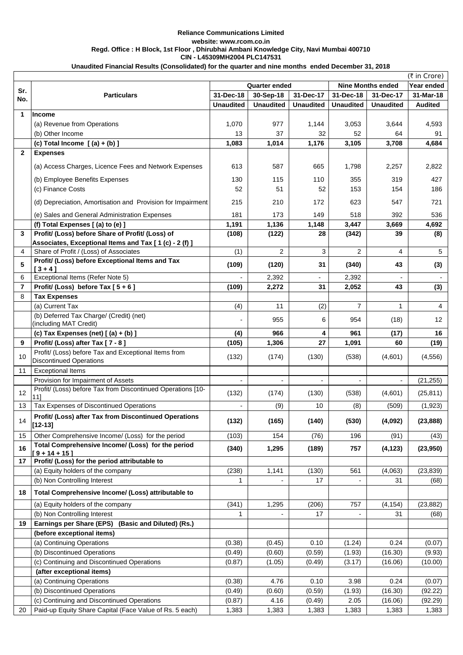|                 | (₹ in Crore)                                                                           |                                     |                  |                        |                          |                  |                 |  |  |  |
|-----------------|----------------------------------------------------------------------------------------|-------------------------------------|------------------|------------------------|--------------------------|------------------|-----------------|--|--|--|
| Sr.             | <b>Particulars</b>                                                                     | <b>Quarter ended</b>                |                  |                        | <b>Nine Months ended</b> | Year ended       |                 |  |  |  |
| No.             |                                                                                        | 31-Dec-18<br>30-Sep-18<br>31-Dec-17 |                  | 31-Dec-18<br>31-Dec-17 |                          | 31-Mar-18        |                 |  |  |  |
|                 |                                                                                        | <b>Unaudited</b>                    | <b>Unaudited</b> | <b>Unaudited</b>       | <b>Unaudited</b>         | <b>Unaudited</b> | <b>Audited</b>  |  |  |  |
| 1               | Income                                                                                 |                                     |                  |                        |                          |                  |                 |  |  |  |
|                 | (a) Revenue from Operations                                                            | 1,070                               | 977              | 1,144                  | 3,053                    | 3,644            | 4,593           |  |  |  |
|                 | (b) Other Income                                                                       | 13                                  | 37               | 32                     | 52                       | 64               | 91              |  |  |  |
|                 | (c) Total Income $[(a) + (b)]$                                                         | 1,083                               | 1,014            | 1,176                  | 3,105                    | 3,708            | 4,684           |  |  |  |
| $\mathbf{2}$    | <b>Expenses</b>                                                                        |                                     |                  |                        |                          |                  |                 |  |  |  |
|                 | (a) Access Charges, Licence Fees and Network Expenses                                  | 613                                 | 587              | 665                    | 1,798                    | 2,257            | 2,822           |  |  |  |
|                 | (b) Employee Benefits Expenses                                                         | 130                                 | 115              | 110                    | 355                      | 319              | 427             |  |  |  |
|                 | (c) Finance Costs                                                                      | 52                                  | 51               | 52                     | 153                      | 154              | 186             |  |  |  |
|                 | (d) Depreciation, Amortisation and Provision for Impairment                            | 215                                 | 210              | 172                    | 623                      | 547              | 721             |  |  |  |
|                 | (e) Sales and General Administration Expenses                                          | 181                                 | 173              | 149                    | 518                      | 392              | 536             |  |  |  |
|                 | (f) Total Expenses [(a) to (e) ]                                                       | 1,191                               | 1,136            | 1,148                  | 3,447                    | 3,669            | 4,692           |  |  |  |
| $\mathbf{3}$    | Profit/ (Loss) before Share of Profit/ (Loss) of                                       | (108)                               | (122)            | 28                     | (342)                    | 39               | (8)             |  |  |  |
|                 | Associates, Exceptional Items and Tax [1(c) - 2(f)]                                    |                                     |                  |                        |                          |                  |                 |  |  |  |
| $\overline{4}$  | Share of Profit / (Loss) of Associates                                                 | (1)                                 | $\overline{2}$   | 3                      | 2                        | 4                | $5\overline{)}$ |  |  |  |
| 5               | Profit/ (Loss) before Exceptional Items and Tax<br>$[3 + 4]$                           | (109)                               | (120)            | 31                     | (340)                    | 43               | (3)             |  |  |  |
| 6               | Exceptional Items (Refer Note 5)                                                       |                                     | 2,392            | $\blacksquare$         | 2,392                    |                  | $\sim$          |  |  |  |
| $\overline{7}$  | Profit/ (Loss) before Tax $[5+6]$                                                      | (109)                               | 2,272            | 31                     | 2,052                    | 43               | (3)             |  |  |  |
| 8               | <b>Tax Expenses</b>                                                                    |                                     |                  |                        |                          |                  |                 |  |  |  |
|                 | (a) Current Tax                                                                        | (4)                                 | 11               | (2)                    | $\overline{7}$           |                  | 4               |  |  |  |
|                 | (b) Deferred Tax Charge/ (Credit) (net)<br>(including MAT Credit)                      |                                     | 955              | 6                      | 954                      | (18)             | 12 <sup>°</sup> |  |  |  |
|                 | (c) Tax Expenses (net) $[(a) + (b)]$                                                   | (4)                                 | 966              | 4                      | 961                      | (17)             | 16              |  |  |  |
| 9               | Profit/ (Loss) after Tax [7 - 8]                                                       | (105)                               | 1,306            | 27                     | 1,091                    | 60               | (19)            |  |  |  |
| 10 <sup>°</sup> | Profit/ (Loss) before Tax and Exceptional Items from<br><b>Discontinued Operations</b> | (132)                               | (174)            | (130)                  | (538)                    | (4,601)          | (4, 556)        |  |  |  |
| 11              | <b>Exceptional Items</b>                                                               |                                     |                  |                        |                          |                  |                 |  |  |  |
|                 | Provision for Impairment of Assets                                                     |                                     |                  |                        |                          |                  | (21, 255)       |  |  |  |
| 12              | Profit/ (Loss) before Tax from Discontinued Operations [10-                            | (132)                               | (174)            | (130)                  | (538)                    | (4,601)          | (25, 811)       |  |  |  |
|                 | 11]                                                                                    |                                     |                  |                        |                          |                  |                 |  |  |  |
| 13              | Tax Expenses of Discontinued Operations                                                |                                     | (9)              | 10                     | (8)                      | (509)            | (1, 923)        |  |  |  |
| 14              | Profit/ (Loss) after Tax from Discontinued Operations<br>$[12 - 13]$                   | (132)                               | (165)            | (140)                  | (530)                    | (4,092)          | (23, 888)       |  |  |  |
| 15              | Other Comprehensive Income/ (Loss) for the period                                      | (103)                               | 154              | (76)                   | 196                      | (91)             | (43)            |  |  |  |
| 16              | Total Comprehensive Income/ (Loss) for the period<br>$9 + 14 + 15$                     | (340)                               | 1,295            | (189)                  | 757                      | (4, 123)         | (23,950)        |  |  |  |
| 17              | Profit/ (Loss) for the period attributable to                                          |                                     |                  |                        |                          |                  |                 |  |  |  |
|                 | (a) Equity holders of the company                                                      | (238)                               | 1,141            | (130)                  | 561                      | (4,063)          | (23, 839)       |  |  |  |
|                 | (b) Non Controlling Interest                                                           |                                     |                  | 17                     |                          | 31               | (68)            |  |  |  |
| 18              | Total Comprehensive Income/ (Loss) attributable to                                     |                                     |                  |                        |                          |                  |                 |  |  |  |
|                 | (a) Equity holders of the company                                                      | (341)                               | 1,295            | (206)                  | 757                      | (4, 154)         | (23, 882)       |  |  |  |
|                 | (b) Non Controlling Interest                                                           |                                     |                  | 17                     |                          | 31               | (68)            |  |  |  |
| 19              | Earnings per Share (EPS) (Basic and Diluted) (Rs.)                                     |                                     |                  |                        |                          |                  |                 |  |  |  |
|                 | (before exceptional items)                                                             |                                     |                  |                        |                          |                  |                 |  |  |  |
|                 | (a) Continuing Operations                                                              | (0.38)                              | (0.45)           | 0.10                   | (1.24)                   | 0.24             | (0.07)          |  |  |  |
|                 | (b) Discontinued Operations                                                            | (0.49)                              | (0.60)           | (0.59)                 | (1.93)                   | (16.30)          | (9.93)          |  |  |  |
|                 | (c) Continuing and Discontinued Operations                                             | (0.87)                              | (1.05)           | (0.49)                 | (3.17)                   | (16.06)          | (10.00)         |  |  |  |
|                 | (after exceptional items)                                                              |                                     |                  |                        |                          |                  |                 |  |  |  |
|                 | (a) Continuing Operations                                                              | (0.38)                              | 4.76             | 0.10                   | 3.98                     | 0.24             | (0.07)          |  |  |  |
|                 | (b) Discontinued Operations                                                            | (0.49)                              | (0.60)           | (0.59)                 | (1.93)                   | (16.30)          | (92.22)         |  |  |  |
|                 | (c) Continuing and Discontinued Operations                                             | (0.87)                              | 4.16             | (0.49)                 | 2.05                     | (16.06)          | (92.29)         |  |  |  |
| 20              | Paid-up Equity Share Capital (Face Value of Rs. 5 each)                                | 1,383                               | 1,383            | 1,383                  | 1,383                    | 1,383            | 1,383           |  |  |  |

**Unaudited Financial Results (Consolidated) for the quarter and nine months ended December 31, 2018**

## **Reliance Communications Limited website: www.rcom.co.in Regd. Office : H Block, 1st Floor , Dhirubhai Ambani Knowledge City, Navi Mumbai 400710 CIN - L45309MH2004 PLC147531**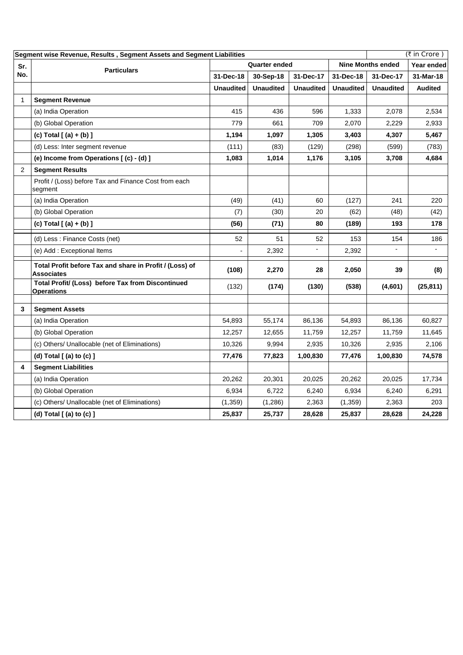|                                                        | $($ ₹ in Crore)<br>Segment wise Revenue, Results, Segment Assets and Segment Liabilities |                  |                      |                  |                          |                  |                |  |
|--------------------------------------------------------|------------------------------------------------------------------------------------------|------------------|----------------------|------------------|--------------------------|------------------|----------------|--|
| Sr.<br>No.<br>1<br>$\overline{2}$<br>$\mathbf{3}$<br>4 | <b>Particulars</b>                                                                       |                  | <b>Quarter ended</b> |                  | <b>Nine Months ended</b> |                  | Year ended     |  |
|                                                        |                                                                                          | 31-Dec-18        | 30-Sep-18            | 31-Dec-17        | 31-Dec-18                | 31-Dec-17        | 31-Mar-18      |  |
|                                                        |                                                                                          | <b>Unaudited</b> | <b>Unaudited</b>     | <b>Unaudited</b> | <b>Unaudited</b>         | <b>Unaudited</b> | <b>Audited</b> |  |
|                                                        | <b>Segment Revenue</b>                                                                   |                  |                      |                  |                          |                  |                |  |
|                                                        | (a) India Operation                                                                      | 415              | 436                  | 596              | 1,333                    | 2,078            | 2,534          |  |
|                                                        | (b) Global Operation                                                                     | 779              | 661                  | 709              | 2,070                    | 2,229            | 2,933          |  |
|                                                        | (c) Total $[ (a) + (b) ]$                                                                | 1,194            | 1,097                | 1,305            | 3,403                    | 4,307            | 5,467          |  |
|                                                        | (d) Less: Inter segment revenue                                                          | (111)            | (83)                 | (129)            | (298)                    | (599)            | (783)          |  |
|                                                        | (e) Income from Operations [(c) - (d) ]                                                  | 1,083            | 1,014                | 1,176            | 3,105                    | 3,708            | 4,684          |  |
|                                                        | <b>Segment Results</b>                                                                   |                  |                      |                  |                          |                  |                |  |
|                                                        | Profit / (Loss) before Tax and Finance Cost from each<br>segment                         |                  |                      |                  |                          |                  |                |  |
|                                                        | (a) India Operation                                                                      | (49)             | (41)                 | 60               | (127)                    | 241              | 220            |  |
|                                                        | (b) Global Operation                                                                     | (7)              | (30)                 | 20               | (62)                     | (48)             | (42)           |  |
|                                                        | (c) Total $[ (a) + (b) ]$                                                                | (56)             | (71)                 | 80               | (189)                    | 193              | 178            |  |
|                                                        | (d) Less: Finance Costs (net)                                                            | 52               | 51                   | 52               | 153                      | 154              | 186            |  |
|                                                        | (e) Add: Exceptional Items                                                               |                  | 2,392                | -                | 2,392                    |                  |                |  |
|                                                        | Total Profit before Tax and share in Profit / (Loss) of<br><b>Associates</b>             | (108)            | 2,270                | 28               | 2,050                    | 39               | (8)            |  |
|                                                        | Total Profit/ (Loss) before Tax from Discontinued<br><b>Operations</b>                   | (132)            | (174)                | (130)            | (538)                    | (4,601)          | (25, 811)      |  |
|                                                        | <b>Segment Assets</b>                                                                    |                  |                      |                  |                          |                  |                |  |
|                                                        | (a) India Operation                                                                      | 54,893           | 55,174               | 86,136           | 54,893                   | 86,136           | 60,827         |  |
|                                                        | (b) Global Operation                                                                     | 12,257           | 12,655               | 11,759           | 12,257                   | 11,759           | 11,645         |  |
|                                                        | (c) Others/ Unallocable (net of Eliminations)                                            | 10,326           | 9,994                | 2,935            | 10,326                   | 2,935            | 2,106          |  |
|                                                        | (d) Total $[$ (a) to $(c)$ $]$                                                           | 77,476           | 77,823               | 1,00,830         | 77,476                   | 1,00,830         | 74,578         |  |
|                                                        | <b>Segment Liabilities</b>                                                               |                  |                      |                  |                          |                  |                |  |
|                                                        | (a) India Operation                                                                      | 20,262           | 20,301               | 20,025           | 20,262                   | 20,025           | 17,734         |  |
|                                                        | (b) Global Operation                                                                     | 6,934            | 6,722                | 6,240            | 6,934                    | 6,240            | 6,291          |  |
|                                                        | (c) Others/ Unallocable (net of Eliminations)                                            | (1, 359)         | (1,286)              | 2,363            | (1, 359)                 | 2,363            | 203            |  |
|                                                        | (d) Total $[$ (a) to (c) $]$                                                             | 25,837           | 25,737               | 28,628           | 25,837                   | 28,628           | 24,228         |  |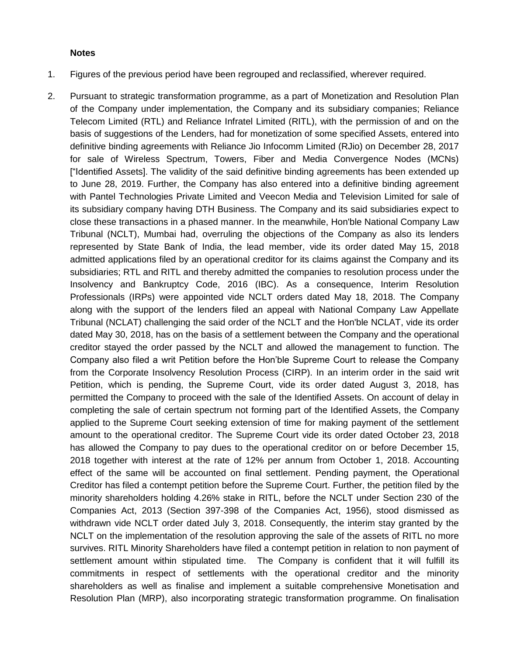## **Notes**

- 1. Figures of the previous period have been regrouped and reclassified, wherever required.
- 2. Pursuant to strategic transformation programme, as a part of Monetization and Resolution Plan of the Company under implementation, the Company and its subsidiary companies; Reliance Telecom Limited (RTL) and Reliance Infratel Limited (RITL), with the permission of and on the basis of suggestions of the Lenders, had for monetization of some specified Assets, entered into definitive binding agreements with Reliance Jio Infocomm Limited (RJio) on December 28, 2017 for sale of Wireless Spectrum, Towers, Fiber and Media Convergence Nodes (MCNs) ["Identified Assets]. The validity of the said definitive binding agreements has been extended up to June 28, 2019. Further, the Company has also entered into a definitive binding agreement with Pantel Technologies Private Limited and Veecon Media and Television Limited for sale of its subsidiary company having DTH Business. The Company and its said subsidiaries expect to close these transactions in a phased manner. In the meanwhile, Hon'ble National Company Law Tribunal (NCLT), Mumbai had, overruling the objections of the Company as also its lenders represented by State Bank of India, the lead member, vide its order dated May 15, 2018 admitted applications filed by an operational creditor for its claims against the Company and its subsidiaries; RTL and RITL and thereby admitted the companies to resolution process under the Insolvency and Bankruptcy Code, 2016 (IBC). As a consequence, Interim Resolution Professionals (IRPs) were appointed vide NCLT orders dated May 18, 2018. The Company along with the support of the lenders filed an appeal with National Company Law Appellate Tribunal (NCLAT) challenging the said order of the NCLT and the Hon'ble NCLAT, vide its order dated May 30, 2018, has on the basis of a settlement between the Company and the operational creditor stayed the order passed by the NCLT and allowed the management to function. The Company also filed a writ Petition before the Hon'ble Supreme Court to release the Company from the Corporate Insolvency Resolution Process (CIRP). In an interim order in the said writ Petition, which is pending, the Supreme Court, vide its order dated August 3, 2018, has permitted the Company to proceed with the sale of the Identified Assets. On account of delay in completing the sale of certain spectrum not forming part of the Identified Assets, the Company applied to the Supreme Court seeking extension of time for making payment of the settlement amount to the operational creditor. The Supreme Court vide its order dated October 23, 2018 has allowed the Company to pay dues to the operational creditor on or before December 15, 2018 together with interest at the rate of 12% per annum from October 1, 2018. Accounting effect of the same will be accounted on final settlement. Pending payment, the Operational Creditor has filed a contempt petition before the Supreme Court. Further, the petition filed by the minority shareholders holding 4.26% stake in RITL, before the NCLT under Section 230 of the Companies Act, 2013 (Section 397-398 of the Companies Act, 1956), stood dismissed as withdrawn vide NCLT order dated July 3, 2018. Consequently, the interim stay granted by the NCLT on the implementation of the resolution approving the sale of the assets of RITL no more survives. RITL Minority Shareholders have filed a contempt petition in relation to non payment of settlement amount within stipulated time. The Company is confident that it will fulfill its commitments in respect of settlements with the operational creditor and the minority shareholders as well as finalise and implement a suitable comprehensive Monetisation and Resolution Plan (MRP), also incorporating strategic transformation programme. On finalisation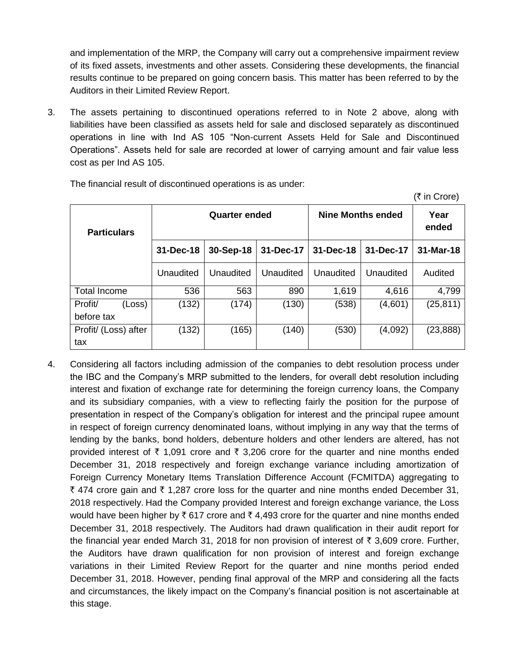and implementation of the MRP, the Company will carry out a comprehensive impairment review of its fixed assets, investments and other assets. Considering these developments, the financial results continue to be prepared on going concern basis. This matter has been referred to by the Auditors in their Limited Review Report.

3. The assets pertaining to discontinued operations referred to in Note 2 above, along with liabilities have been classified as assets held for sale and disclosed separately as discontinued operations in line with Ind AS 105 "Non-current Assets Held for Sale and Discontinued Operations". Assets held for sale are recorded at lower of carrying amount and fair value less cost as per Ind AS 105.

| <b>Particulars</b>   |           | <b>Quarter ended</b> |           | <b>Nine Months ended</b> | Year<br>ended |           |
|----------------------|-----------|----------------------|-----------|--------------------------|---------------|-----------|
|                      | 31-Dec-18 | 30-Sep-18            | 31-Dec-17 | 31-Dec-18                | 31-Dec-17     | 31-Mar-18 |
|                      | Unaudited | Unaudited            | Unaudited | Unaudited                | Unaudited     | Audited   |
| <b>Total Income</b>  | 536       | 563                  | 890       | 1,619                    | 4,616         | 4,799     |
| Profit/<br>(Loss)    | (132)     | (174)                | (130)     | (538)                    | (4,601)       | (25, 811) |
| before tax           |           |                      |           |                          |               |           |
| Profit/ (Loss) after | (132)     | (165)                | (140)     | (530)                    | (4,092)       | (23, 888) |
| tax                  |           |                      |           |                          |               |           |

 $(\bar{\tau}$  in Crore)

The financial result of discontinued operations is as under:

4. Considering all factors including admission of the companies to debt resolution process under the IBC and the Company's MRP submitted to the lenders, for overall debt resolution including interest and fixation of exchange rate for determining the foreign currency loans, the Company and its subsidiary companies, with a view to reflecting fairly the position for the purpose of presentation in respect of the Company's obligation for interest and the principal rupee amount in respect of foreign currency denominated loans, without implying in any way that the terms of lending by the banks, bond holders, debenture holders and other lenders are altered, has not provided interest of  $\bar{\tau}$  1,091 crore and  $\bar{\tau}$  3,206 crore for the quarter and nine months ended December 31, 2018 respectively and foreign exchange variance including amortization of Foreign Currency Monetary Items Translation Difference Account (FCMITDA) aggregating to ₹ 474 crore gain and ₹ 1,287 crore loss for the quarter and nine months ended December 31, 2018 respectively. Had the Company provided Interest and foreign exchange variance, the Loss would have been higher by  $\bar{\xi}$  617 crore and  $\bar{\xi}$  4,493 crore for the quarter and nine months ended December 31, 2018 respectively. The Auditors had drawn qualification in their audit report for the financial year ended March 31, 2018 for non provision of interest of  $\bar{\tau}$  3,609 crore. Further, the Auditors have drawn qualification for non provision of interest and foreign exchange variations in their Limited Review Report for the quarter and nine months period ended December 31, 2018. However, pending final approval of the MRP and considering all the facts and circumstances, the likely impact on the Company's financial position is not ascertainable at this stage.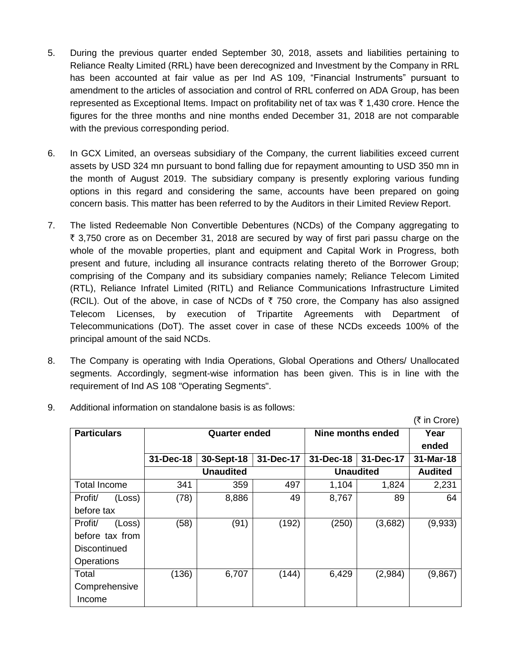- 5. During the previous quarter ended September 30, 2018, assets and liabilities pertaining to Reliance Realty Limited (RRL) have been derecognized and Investment by the Company in RRL has been accounted at fair value as per Ind AS 109, "Financial Instruments" pursuant to amendment to the articles of association and control of RRL conferred on ADA Group, has been represented as Exceptional Items. Impact on profitability net of tax was  $\bar{\tau}$  1,430 crore. Hence the figures for the three months and nine months ended December 31, 2018 are not comparable with the previous corresponding period.
- 6. In GCX Limited, an overseas subsidiary of the Company, the current liabilities exceed current assets by USD 324 mn pursuant to bond falling due for repayment amounting to USD 350 mn in the month of August 2019. The subsidiary company is presently exploring various funding options in this regard and considering the same, accounts have been prepared on going concern basis. This matter has been referred to by the Auditors in their Limited Review Report.
- 7. The listed Redeemable Non Convertible Debentures (NCDs) of the Company aggregating to  $\overline{\xi}$  3,750 crore as on December 31, 2018 are secured by way of first pari passu charge on the whole of the movable properties, plant and equipment and Capital Work in Progress, both present and future, including all insurance contracts relating thereto of the Borrower Group; comprising of the Company and its subsidiary companies namely; Reliance Telecom Limited (RTL), Reliance Infratel Limited (RITL) and Reliance Communications Infrastructure Limited (RCIL). Out of the above, in case of NCDs of  $\bar{\tau}$  750 crore, the Company has also assigned Telecom Licenses, by execution of Tripartite Agreements with Department of Telecommunications (DoT). The asset cover in case of these NCDs exceeds 100% of the principal amount of the said NCDs.
- 8. The Company is operating with India Operations, Global Operations and Others/ Unallocated segments. Accordingly, segment-wise information has been given. This is in line with the requirement of Ind AS 108 "Operating Segments".

 $(\bar{\tau}$  in Crore)

|                     | $\sqrt{2}$ |           |                      |           |                   |                  |                |  |
|---------------------|------------|-----------|----------------------|-----------|-------------------|------------------|----------------|--|
| <b>Particulars</b>  |            |           | <b>Quarter ended</b> |           | Nine months ended | Year             |                |  |
|                     |            |           |                      |           |                   |                  | ended          |  |
|                     |            | 31-Dec-18 | 30-Sept-18           | 31-Dec-17 | 31-Dec-18         | 31-Dec-17        | 31-Mar-18      |  |
|                     |            |           | <b>Unaudited</b>     |           |                   | <b>Unaudited</b> | <b>Audited</b> |  |
| <b>Total Income</b> |            | 341       | 359                  | 497       | 1,104             | 1,824            | 2,231          |  |
| Profit/             | (Loss)     | (78)      | 8,886                | 49        | 8,767             | 89               | 64             |  |
| before tax          |            |           |                      |           |                   |                  |                |  |
| Profit/             | (Loss)     | (58)      | (91)                 | (192)     | (250)             | (3,682)          | (9,933)        |  |
| before tax from     |            |           |                      |           |                   |                  |                |  |
| <b>Discontinued</b> |            |           |                      |           |                   |                  |                |  |
| Operations          |            |           |                      |           |                   |                  |                |  |
| Total               |            | (136)     | 6,707                | (144)     | 6,429             | (2,984)          | (9,867)        |  |
| Comprehensive       |            |           |                      |           |                   |                  |                |  |
| Income              |            |           |                      |           |                   |                  |                |  |

9. Additional information on standalone basis is as follows: